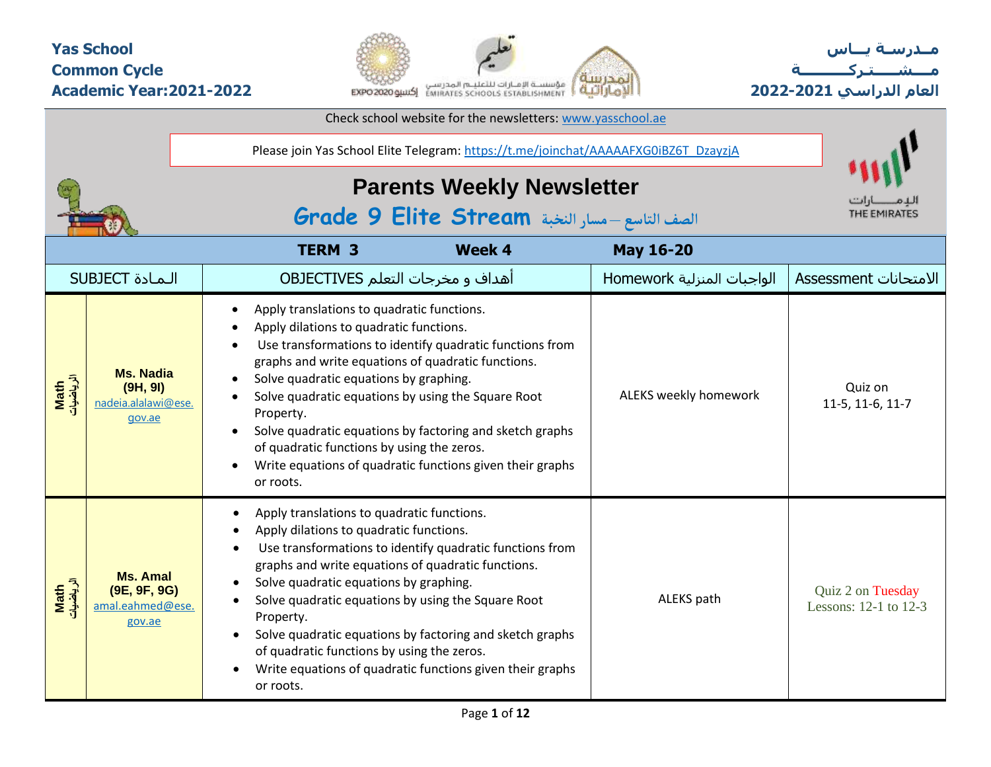#### **Yas School Common Cycle Academic Year:2021-2022**



Check school website for the newsletters: [www.yasschool.ae](http://www.yasschool.ae/)

**مــدرسـة يـــاس مــــشـ ـــ ـتـ ركـ ــــــــــ ة العام الدراسي -2021 2022**

|                   |                                                               | Please join Yas School Elite Telegram: https://t.me/joinchat/AAAAAFXG0iBZ6T_DzayzjA                                                                                                                                                                                                                                                                                                                                                                                                                      |                            |                                                |
|-------------------|---------------------------------------------------------------|----------------------------------------------------------------------------------------------------------------------------------------------------------------------------------------------------------------------------------------------------------------------------------------------------------------------------------------------------------------------------------------------------------------------------------------------------------------------------------------------------------|----------------------------|------------------------------------------------|
|                   |                                                               | <b>Parents Weekly Newsletter</b><br>الصف التاسع - مسار النخبة Grade 9 Elite Stream                                                                                                                                                                                                                                                                                                                                                                                                                       | THE EMIRATES               |                                                |
|                   |                                                               | <b>TERM 3</b><br>Week 4                                                                                                                                                                                                                                                                                                                                                                                                                                                                                  | <b>May 16-20</b>           |                                                |
|                   | <b>SUBJECT</b> المادة                                         | أهداف و مخرجات التعلم OBJECTIVES                                                                                                                                                                                                                                                                                                                                                                                                                                                                         | الواجبات المنزلية Homework | Assessment الامتحانات                          |
| الرياضيات<br>Math | <b>Ms. Nadia</b><br>(9H, 9I)<br>nadeia.alalawi@ese.<br>gov.ae | Apply translations to quadratic functions.<br>Apply dilations to quadratic functions.<br>Use transformations to identify quadratic functions from<br>graphs and write equations of quadratic functions.<br>Solve quadratic equations by graphing.<br>Solve quadratic equations by using the Square Root<br>Property.<br>Solve quadratic equations by factoring and sketch graphs<br>of quadratic functions by using the zeros.<br>Write equations of quadratic functions given their graphs<br>or roots. | ALEKS weekly homework      | Quiz on<br>11-5, 11-6, 11-7                    |
| Math<br>الرياضيات | <b>Ms. Amal</b><br>(9E, 9F, 9G)<br>amal.eahmed@ese.<br>gov.ae | Apply translations to quadratic functions.<br>Apply dilations to quadratic functions.<br>Use transformations to identify quadratic functions from<br>graphs and write equations of quadratic functions.<br>Solve quadratic equations by graphing.<br>Solve quadratic equations by using the Square Root<br>Property.<br>Solve quadratic equations by factoring and sketch graphs<br>of quadratic functions by using the zeros.<br>Write equations of quadratic functions given their graphs<br>or roots. | ALEKS path                 | Quiz 2 on Tuesday<br>Lessons: $12-1$ to $12-3$ |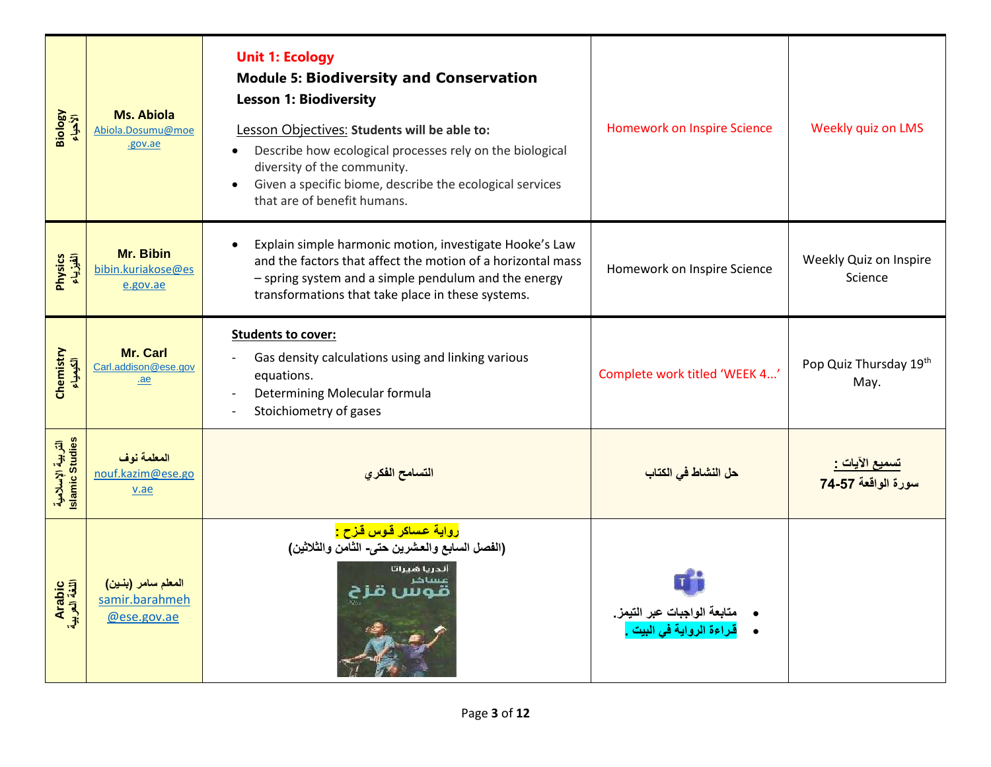| Biology<br>الأحياء                   | Ms. Abiola<br>Abiola.Dosumu@moe<br>.gov.ae          | <b>Unit 1: Ecology</b><br><b>Module 5: Biodiversity and Conservation</b><br><b>Lesson 1: Biodiversity</b><br>Lesson Objectives: Students will be able to:<br>Describe how ecological processes rely on the biological<br>diversity of the community.<br>Given a specific biome, describe the ecological services<br>$\bullet$<br>that are of benefit humans. | <b>Homework on Inspire Science</b>                                   | Weekly quiz on LMS                                  |
|--------------------------------------|-----------------------------------------------------|--------------------------------------------------------------------------------------------------------------------------------------------------------------------------------------------------------------------------------------------------------------------------------------------------------------------------------------------------------------|----------------------------------------------------------------------|-----------------------------------------------------|
| Physics<br>الفيزياء                  | Mr. Bibin<br>bibin.kuriakose@es<br>e.gov.ae         | Explain simple harmonic motion, investigate Hooke's Law<br>and the factors that affect the motion of a horizontal mass<br>- spring system and a simple pendulum and the energy<br>transformations that take place in these systems.                                                                                                                          | Homework on Inspire Science                                          | Weekly Quiz on Inspire<br>Science                   |
| Chemistry<br>الكيمياء                | Mr. Carl<br>Carl.addison@ese.gov<br>.ae             | <b>Students to cover:</b><br>Gas density calculations using and linking various<br>equations.<br>Determining Molecular formula<br>Stoichiometry of gases                                                                                                                                                                                                     | Complete work titled 'WEEK 4'                                        | Pop Quiz Thursday 19th<br>May.                      |
| التربية الإسلامية<br>Islamic Studies | المعلمة نوف<br>nouf.kazim@ese.go<br>v.ae            | التسامح الفكري                                                                                                                                                                                                                                                                                                                                               | <mark>حل النشاط في الكتاب</mark>                                     | <u>تسميع الآيات :</u><br>سورة الوا <b>قعة 74-57</b> |
| Arabic<br>اللغة العربية              | المعلم سامر (بنين)<br>samir.barahmeh<br>@ese.gov.ae | <mark>رواية عساكر قوس قزح :</mark><br>(الفصل السابع والعشرين حتى- الثامن والثلاثين)<br>ألدريا هيراتا                                                                                                                                                                                                                                                         | متابعة الواجبات عبر التيمز.<br><mark>قراءة الرواية في البيت .</mark> |                                                     |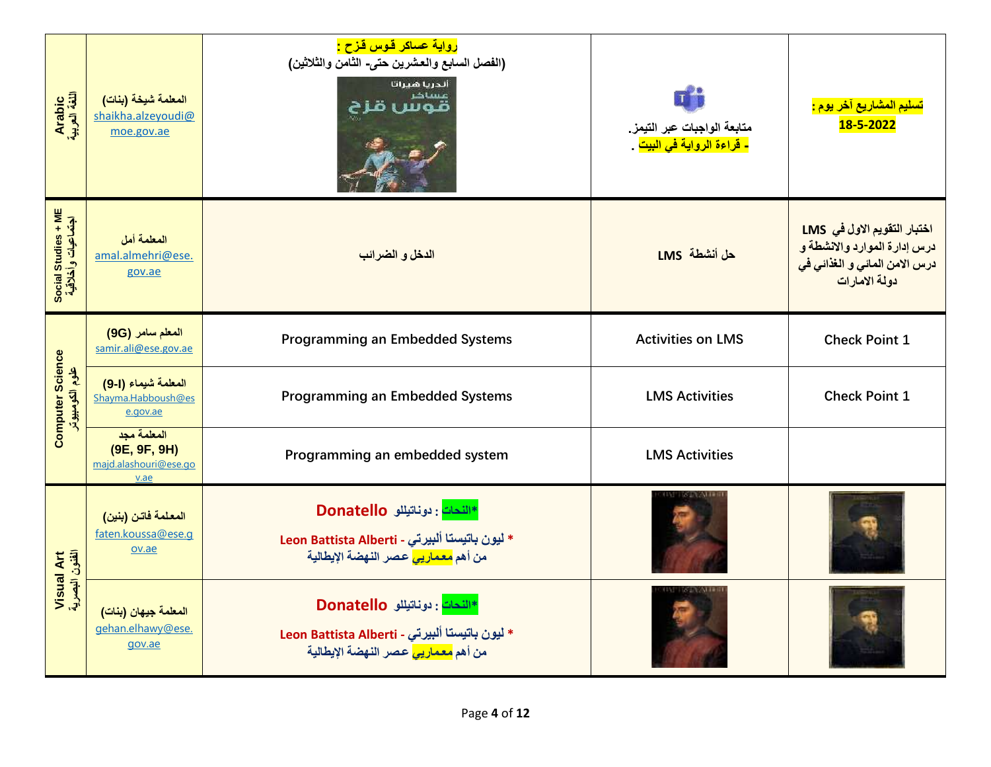| Arabic<br>اللغة العربية                    | المعلمة شيخة (بنات)<br>shaikha.alzeyoudi@<br>moe.gov.ae      | <mark>رواية عساكر قـوس قـزح :</mark><br>(الفصل السابع والعشرين حتى- الثامن والثلاثين)<br>أندريا هيراتا<br>عساخر<br>Шал               | متابعة الواجبات عبر التيمز.<br><mark>- قراءة الرواية في البيت</mark> . | <mark>تسليم المشاريع آخر يوم :</mark><br>18-5-2022                                                                         |
|--------------------------------------------|--------------------------------------------------------------|--------------------------------------------------------------------------------------------------------------------------------------|------------------------------------------------------------------------|----------------------------------------------------------------------------------------------------------------------------|
| Social Studies + ME<br>اجتماعیات وأخلاقیة  | المعلمة أمل<br>amal.almehri@ese.<br>gov.ae                   | الدخل و الضرائب                                                                                                                      | حل أنشطة LMS                                                           | اختبار التقويم الاول في LMS<br>درس إدارة الموارد والانشطة و<br><mark>درس الامن المائي و الغذائي في</mark><br>دولة الامارات |
|                                            | المعلم سامر (9G)<br>samir.ali@ese.gov.ae                     | <b>Programming an Embedded Systems</b>                                                                                               | <b>Activities on LMS</b>                                               | <b>Check Point 1</b>                                                                                                       |
| <b>Computer Science</b><br>علوم الكومبيوتر | المعلمة شيماء (1-9)<br>Shayma.Habboush@es<br>e.gov.ae        | Programming an Embedded Systems                                                                                                      | <b>LMS Activities</b>                                                  | <b>Check Point 1</b>                                                                                                       |
|                                            | المعلمة مجد<br>(9E, 9F, 9H)<br>majd.alashouri@ese.go<br>v.ae | Programming an embedded system                                                                                                       | <b>LMS Activities</b>                                                  |                                                                                                                            |
|                                            | المعلمة فاتن (بنين)<br>faten.koussa@ese.q<br>ov.ae           | النحات: دوناتيللو Donatello<br>* ليون باتيستا ألبيرتي - Leon Battista Alberti<br>من أهم <mark>معماريي</mark> عصر النهضة الإيطالية    |                                                                        |                                                                                                                            |
| Visual Art<br>الفئون البصرية               | المعلمة جيهان (بنات)<br>gehan.elhawy@ese.<br>gov.ae          | *اللّحات : دوناتيللو Donatello<br>* ليون باتيستا ألبيرتي - Leon Battista Alberti<br>من أهم <mark>معماريي</mark> عصر النهضة الإيطالية |                                                                        |                                                                                                                            |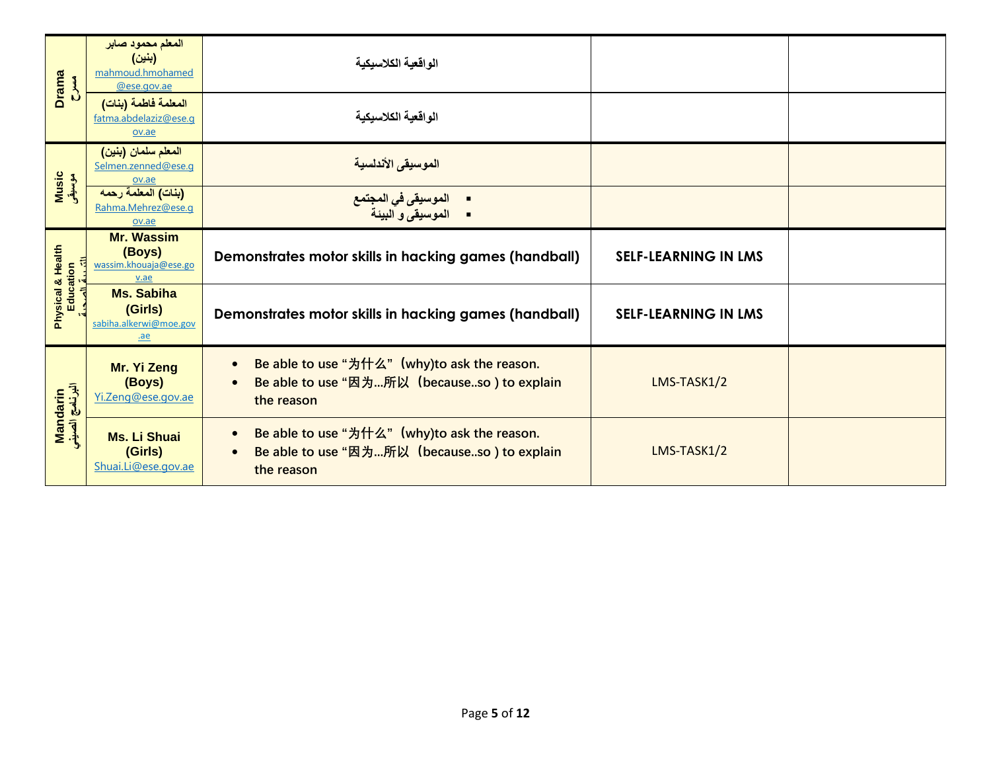| <b>Drama</b><br><b>MAC</b>     | المعلم محمود صابر<br>(بنين)<br>mahmoud.hmohamed<br>@ese.gov.ae | الواقعية الكلاسيكية                                                                                                                 |                             |  |
|--------------------------------|----------------------------------------------------------------|-------------------------------------------------------------------------------------------------------------------------------------|-----------------------------|--|
|                                | المعلمة فاطمة (بنات)<br>fatma.abdelaziz@ese.g<br>ov.ae         | الواقعية الكلاسيكية                                                                                                                 |                             |  |
|                                | المعلم سلمان (بنين)<br>Selmen.zenned@ese.g<br>ov.ae            | الموسيقى الأندلسية                                                                                                                  |                             |  |
| <mark>Music</mark><br>موسیقی   | (بنات) المعلمة رحمه<br>Rahma.Mehrez@ese.q<br>ov.ae             | ■ الموسيقى في المجتمع<br>■ الموسيقى و البيئة                                                                                        |                             |  |
|                                | <b>Mr. Wassim</b><br>(Boys)<br>wassim.khouaja@ese.go<br>v.ae   | Demonstrates motor skills in hacking games (handball)                                                                               | <b>SELF-LEARNING IN LMS</b> |  |
| Physical & Health<br>Education | <b>Ms. Sabiha</b><br>(Girls)<br>sabiha.alkerwi@moe.gov<br>.ae  | Demonstrates motor skills in hacking games (handball)                                                                               | <b>SELF-LEARNING IN LMS</b> |  |
| Mandarin<br>البرنامج الصيني    | Mr. Yi Zeng<br>(Boys)<br>Yi.Zeng@ese.gov.ae                    | Be able to use "为什么" (why)to ask the reason.<br>$\bullet$<br>Be able to use "因为所以 (becauseso) to explain<br>$\bullet$<br>the reason | LMS-TASK1/2                 |  |
|                                | <b>Ms. Li Shuai</b><br>(Girls)<br>Shuai.Li@ese.gov.ae          | Be able to use "为什么" (why)to ask the reason.<br>$\bullet$<br>Be able to use "因为所以 (becauseso) to explain<br>the reason              | LMS-TASK1/2                 |  |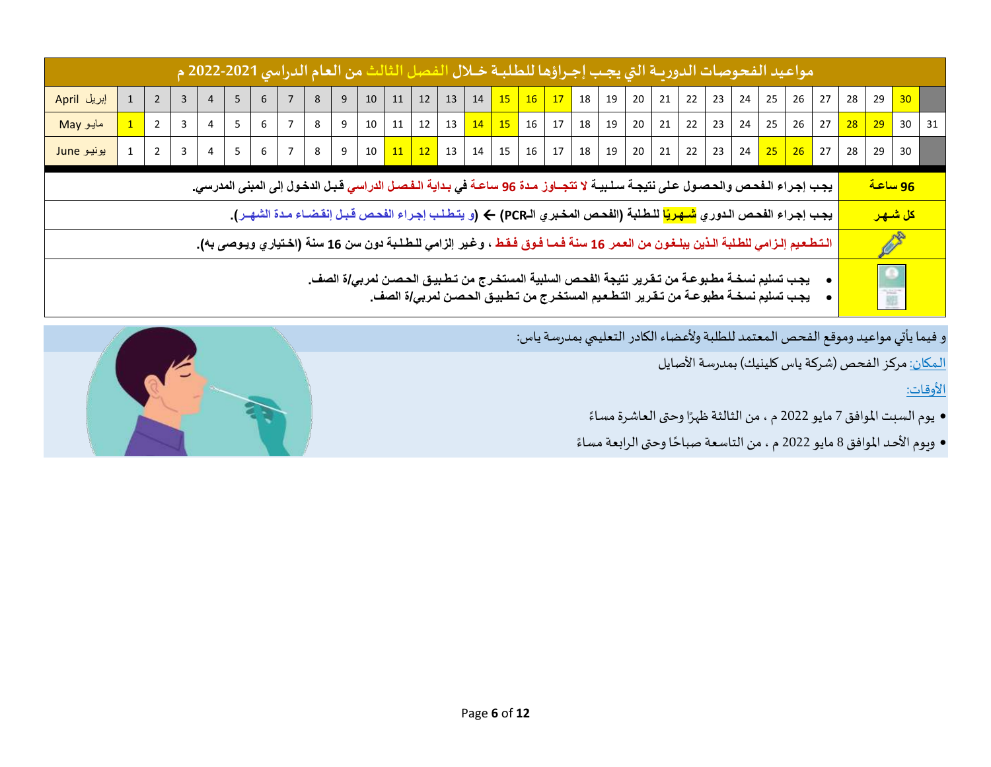| 'مواعيد الفحوصات الدوريــة التي يجـب إجـراؤها للطلبــة خــلال الفـصل الثالث من العام الدراسي 2021-2022 م                                                                                                                                                     |                                                                                                                                                                                                              |                |  |  |   |   |                |   |   |    |    |    |                   |    |       |                      |                  |    |                       |    |                   |    |    |    |    |    |    |                                                                  |    |    |
|--------------------------------------------------------------------------------------------------------------------------------------------------------------------------------------------------------------------------------------------------------------|--------------------------------------------------------------------------------------------------------------------------------------------------------------------------------------------------------------|----------------|--|--|---|---|----------------|---|---|----|----|----|-------------------|----|-------|----------------------|------------------|----|-----------------------|----|-------------------|----|----|----|----|----|----|------------------------------------------------------------------|----|----|
| إبريل April                                                                                                                                                                                                                                                  |                                                                                                                                                                                                              | $\overline{2}$ |  |  | 5 | 6 |                | 8 | 9 | 10 | 11 | 12 | 13                | 14 |       |                      | 15 16 17 18      |    | 19 20                 |    | $21 \mid 22 \mid$ | 23 | 24 | 25 | 26 | 27 | 28 | 29                                                               | 30 |    |
| مايو May                                                                                                                                                                                                                                                     |                                                                                                                                                                                                              | $\overline{2}$ |  |  | 5 | 6 | $\overline{7}$ | 8 | 9 | 10 | 11 |    | $12 \mid 13 \mid$ |    |       |                      | $14$ 15 16 17 18 | 19 | 20                    | 21 | 22                | 23 | 24 | 25 | 26 | 27 |    | $\begin{array}{ c c c }\n\hline\n28 & 29 \\ \hline\n\end{array}$ | 30 | 31 |
| $10 \mid 11 \mid 12 \mid 13 \mid 14 \mid 15 \mid 16 \mid 17 \mid 18 \mid 19 \mid 20 \mid$<br>  21   22   23   24 <mark>  25   26  </mark> 27  <br>8<br>$\overline{9}$<br>5 <sub>1</sub><br>7 <sup>1</sup><br>$6\overline{6}$<br>يونيو June<br>$\overline{2}$ |                                                                                                                                                                                                              |                |  |  |   |   |                |   |   |    |    |    |                   |    | 28 29 | 30                   |                  |    |                       |    |                   |    |    |    |    |    |    |                                                                  |    |    |
|                                                                                                                                                                                                                                                              | يجب إجراء الـفحص والحصـول عـلى نتيجـة سـلـبيـة لا تتجــاوز مـدة 96 ساعـة في بـدايـة الـفـصـل الدراسي قـبـل الدخول إلى المبنى المدرسي.                                                                        |                |  |  |   |   |                |   |   |    |    |    |                   |    |       | <mark>96 ساعة</mark> |                  |    |                       |    |                   |    |    |    |    |    |    |                                                                  |    |    |
|                                                                                                                                                                                                                                                              | يجب إجراء الفحص الدوري <mark>شهريًا</mark> للطلبة (الفحص المخبري الـPCR) ← (و يتطلب إجراء الفحص قبل إنقضاء مدة الشهـر).                                                                                      |                |  |  |   |   |                |   |   |    |    |    |                   |    |       |                      |                  |    | <mark>كل شىھىر</mark> |    |                   |    |    |    |    |    |    |                                                                  |    |    |
|                                                                                                                                                                                                                                                              | الـتـطـعـيم إلـزامي للطـلبة الـذين يبلـغـون من العـمر 16 سنـة فـمـا فـوق فـقـط ، و.غير إلزامي للـطـلـبة دون سن 16 سنـة (اخـتياري ويـوصى بـه).                                                                |                |  |  |   |   |                |   |   |    |    |    |                   |    |       |                      | Ø                |    |                       |    |                   |    |    |    |    |    |    |                                                                  |    |    |
|                                                                                                                                                                                                                                                              | يجب تسليم نسخــة مطـبو عــة من تــقـرير. نتيجة الفحـص السلبية المستخـرج من تـطـبيـق الحـصـن لمربـي/ة الصف.<br>يجب تسليم نسخــة مطبوعــة من تــقـرير. التـطـعـيم المستخـرج من تـطـبيـق الحـصـن لمربـي/ة الصف. |                |  |  |   |   |                |   |   |    |    |    |                   |    |       |                      | $\bullet$<br>面   |    |                       |    |                   |    |    |    |    |    |    |                                                                  |    |    |

و فيما يأتي مواعيد وموقع الفحص المعتمد للطلبة ولأعضاء الكادر التعليمي بمدرسة ياس:

<u>المكان:</u> مركز الفحص (شركة ياس كلينيك) بمدرسة الأصايل

األوقات:

- يوم السبت الموافق 7 مايو 2022 م ، من الثالثة ظهرًا وحتى العاشرة مساءً ً
- ويوم الأحد الموافق 8 مايو 2022 م ، من التاسعة صباحًا وحتى الرابعة مساءً ً **:**

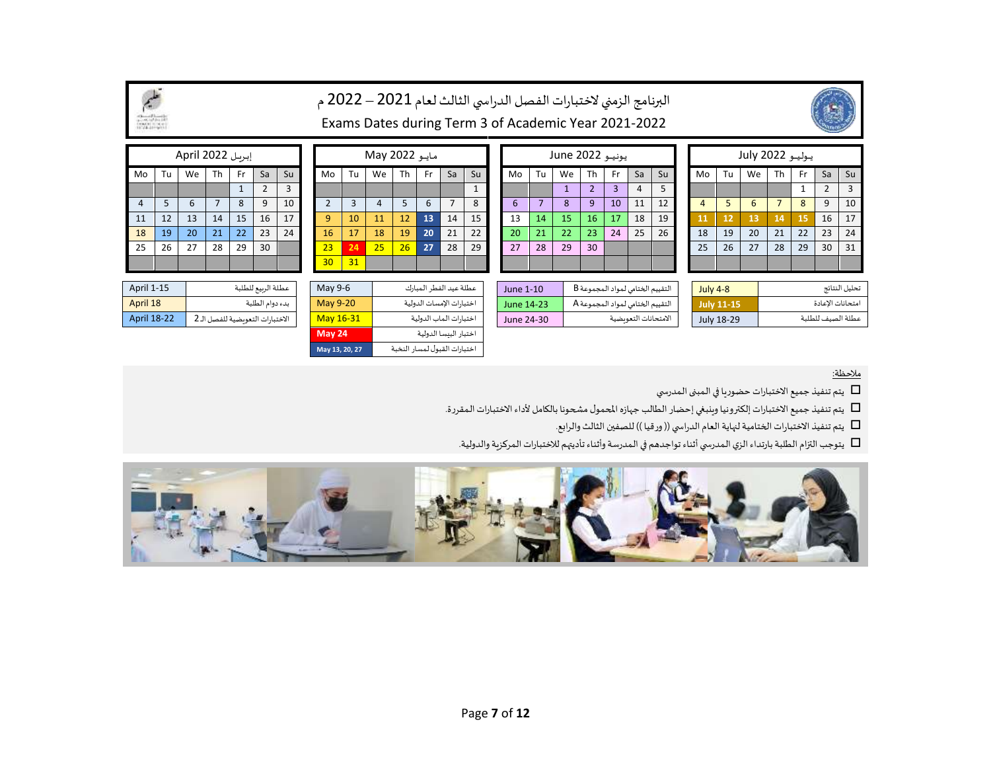|                              | البرنامج الزمني لاختبارات الفصل الدراسي الثالث لعام 2021 – 2022 م                      |    |                |              |                    |    |                |                |                                                      |                              |                       |                |              |  |                                               |                      |    |                 |                                  |            |                 |                   |                |                   |               |                |     |                  |    |
|------------------------------|----------------------------------------------------------------------------------------|----|----------------|--------------|--------------------|----|----------------|----------------|------------------------------------------------------|------------------------------|-----------------------|----------------|--------------|--|-----------------------------------------------|----------------------|----|-----------------|----------------------------------|------------|-----------------|-------------------|----------------|-------------------|---------------|----------------|-----|------------------|----|
| LAK Information              |                                                                                        |    |                |              |                    |    |                |                | Exams Dates during Term 3 of Academic Year 2021-2022 |                              |                       |                |              |  |                                               |                      |    |                 |                                  |            |                 |                   |                |                   |               |                |     |                  |    |
| إبريل April 2022<br>May 2022 |                                                                                        |    |                |              |                    |    |                |                |                                                      | يونيو June 2022              |                       |                |              |  |                                               |                      |    | يوليو 2022 July |                                  |            |                 |                   |                |                   |               |                |     |                  |    |
| Mo                           | Tu                                                                                     | We | Th             | Fr.          | Sa                 | Su | Mo             | Tu             | We                                                   | Th                           | Fr.                   | Sa             | Su           |  | Mo                                            | Tu                   | We | Th              | Fr.                              | Sa         | Su              |                   | Mo             | Tu                | We            | <b>Th</b>      | Fr. | Sa               | Su |
|                              |                                                                                        |    |                | $\mathbf{1}$ | 2                  | 3  |                |                |                                                      |                              |                       |                | $\mathbf{1}$ |  |                                               |                      |    | $\overline{2}$  | $\overline{3}$                   | 4          | 5               |                   |                |                   |               |                |     | $\overline{2}$   | 3  |
| $\overline{4}$               | 5                                                                                      | 6  | $\overline{7}$ | 8            | 9                  | 10 | $\overline{2}$ | $\overline{3}$ | $\overline{4}$                                       | 5                            | 6                     | $\overline{7}$ | 8            |  | 6                                             | $\overline{7}$       | 8  | 9               | 10                               | 11         | 12              |                   | $\overline{4}$ | 5                 | 6             | $\overline{7}$ | 8   | 9                | 10 |
| 11                           | 12                                                                                     | 13 | 14             | 15           | 16                 | 17 | $\overline{9}$ | 10             | 11                                                   | 12                           | 13                    | 14             | 15           |  | 13                                            | 14                   | 15 | 16              | 17                               | 18         | 19              |                   | 11             | 12                | 13            | 14             | 15  | 16               | 17 |
| 18                           | 19                                                                                     | 20 | 21             | 22           | 23                 | 24 | 16             | 17             | 18                                                   | 19                           | 20                    | 21             | 22           |  | 20                                            | 21                   | 22 | 23              | 24                               | 25         | 26              |                   | 18             | 19                | 20            | 21             | 22  | 23               | 24 |
| 25                           | 26                                                                                     | 27 | 28             | 29           | 30                 |    | 23             | 24             | 25                                                   | 26                           | 27                    | 28             | 29           |  | 27                                            | 28                   | 29 | 30              |                                  |            |                 |                   | 25             | 26                | 27            | 28             | 29  | 30               | 31 |
|                              |                                                                                        |    |                |              |                    |    | 30             | 31             |                                                      |                              |                       |                |              |  |                                               |                      |    |                 |                                  |            |                 |                   |                |                   |               |                |     |                  |    |
| April 1-15                   |                                                                                        |    |                |              | عطلة الرىيع للطلبة |    |                | May 9-6        | عطلة عيد الفطر المبارك                               |                              |                       |                |              |  | التقييم الختامي لمواد المجموعة B<br>June 1-10 |                      |    |                 |                                  |            | <b>July 4-8</b> |                   |                |                   | تحليل النتائج |                |     |                  |    |
| April 18                     |                                                                                        |    |                |              | بدء دوام الطلبة    |    |                | May 9-20       | اختبارات الإمسات الدولية                             |                              |                       |                |              |  | June 14-23                                    |                      |    |                 | التقييم الختامي لمواد المجموعة A |            |                 | <b>July 11-15</b> |                |                   |               |                |     | امتحانات الاعادة |    |
|                              | April 18-22<br>May 16-31<br>الاختبارات التعوىضية للفصل الـ 2<br>اختبارات الماب الدولية |    |                |              |                    |    |                |                |                                                      |                              | June 24-30            |                |              |  |                                               | الامتحانات التعويضية |    |                 |                                  | July 18-29 |                 |                   |                | عطلة الصيف للطلبة |               |                |     |                  |    |
|                              |                                                                                        |    |                |              |                    |    |                | <b>May 24</b>  |                                                      |                              | اختبار البىسا الدولية |                |              |  |                                               |                      |    |                 |                                  |            |                 |                   |                |                   |               |                |     |                  |    |
|                              |                                                                                        |    |                |              |                    |    |                | May 13, 20, 27 |                                                      | اختبارات القبول لمسار النخبة |                       |                |              |  |                                               |                      |    |                 |                                  |            |                 |                   |                |                   |               |                |     |                  |    |

| إبريل April 2022 |    |    |    |              |                |                |  |  |  |  |  |  |  |  |  |
|------------------|----|----|----|--------------|----------------|----------------|--|--|--|--|--|--|--|--|--|
| Mo               | Tu | We | Th | Fr           | Sa             | Su             |  |  |  |  |  |  |  |  |  |
|                  |    |    |    | $\mathbf{1}$ | $\overline{2}$ | $\overline{3}$ |  |  |  |  |  |  |  |  |  |
| $\overline{4}$   | 5  | 6  | 7  | 8            | 9              | 1 <sub>0</sub> |  |  |  |  |  |  |  |  |  |
| 11               | 12 | 13 | 14 | 15           | 16             | 17             |  |  |  |  |  |  |  |  |  |
| 18               | 19 | 20 | 21 | 22           | 23             | 24             |  |  |  |  |  |  |  |  |  |
| 25               | 26 | 27 | 28 | 29           | 30             |                |  |  |  |  |  |  |  |  |  |

|                                  | May 24          |
|----------------------------------|-----------------|
| الاختبارات التعوىضية للفصل الـ 2 | May 16-3        |
| بدء دوام الطلبة                  | <b>May 9-20</b> |
| عطلة الربيع للطلبة               | May 9-6         |
|                                  |                 |

يتم تنفيذ جميع الاختبارات حضوريا في المبنى المدرسي  $\Box$ 

يتم تنفيذ جميع الاختبارات إلكترونيا وينبغي إحضار الطالب جهازه المحمول مشحونا بالكامل لأداء الاختبارات المقررة.

يتم تنفيذ الاختبارات الختامية لنهاية العام الدراسي (( ورقيا )) للصفين الثالث والرابع.  $\Box$ 

يتوجب التزام الطلبة بارتداء الزي المدرسي أثناء تواجدهم في المدرسة وأثناء تأديتهم للاختبارات المركزية والدولية.

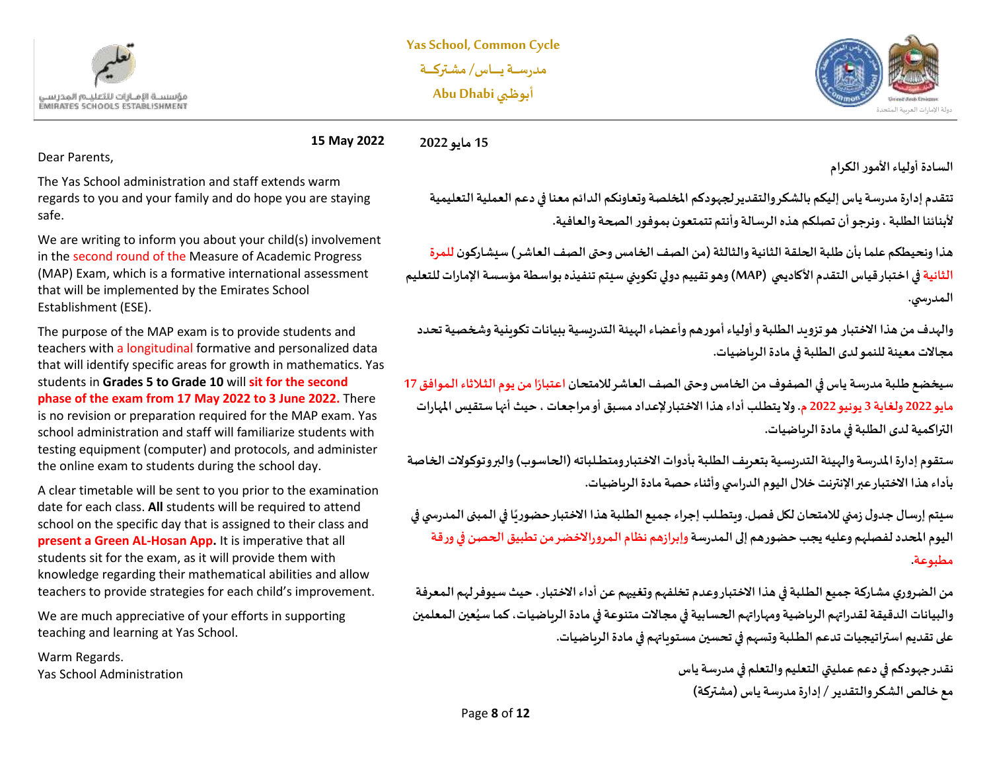



**15 May 2022 15 مايو 2022**

Dear Parents,

The Yas School administration and staff extends warm regards to you and your family and do hope you are staying safe.

We are writing to inform you about your child(s) involvement in the second round of the Measure of Academic Progress (MAP) Exam, which is a formative international assessment that will be implemented by the Emirates School Establishment (ESE).

The purpose of the MAP exam is to provide students and teachers with a longitudinal formative and personalized data that will identify specific areas for growth in mathematics. Yas students in **Grades 5 to Grade 10** will **sit for the second phase of the exam from 17 May 2022 to 3 June 2022.** There is no revision or preparation required for the MAP exam. Yas school administration and staff will familiarize students with testing equipment (computer) and protocols, and administer the online exam to students during the school day.

A clear timetable will be sent to you prior to the examination date for each class. **All** students will be required to attend school on the specific day that is assigned to their class and **present a Green AL-Hosan App.** It is imperative that all students sit for the exam, as it will provide them with knowledge regarding their mathematical abilities and allow teachers to provide strategies for each child's improvement.

We are much appreciative of your efforts in supporting teaching and learning at Yas School.

Warm Regards. Yas School Administration **السادة أولياء األمورالكرام** 

**تتقدم إدارةمدرسةياس إليكم بالشكروالتقديرلجهودكم املخلصة وتعاونكم الدائم معنا في دعم العملية التعليمية ألبنائنا الطلبة،ونرجوأن تصلكم هذهالرسالةوأنتم تتمتعون بموفورالصحةوالعافية.** 

**هذا ونحيطكم علما بأن طـلبة الحلقة الثانية والثالث ة)من الصف الخامس وحتىالصف العاشر( سيشاركون للمرة الثانية في اختبار قياس التقدم األكاديمي (MAP (وهوتقييم دوليتكويني سيتم تنفيذهبواسطةمؤسسةاإلماراتللتعليم الـمدرس ي.**

**والهدف من هذا االختبار هوتزويد الطـلبةوأولياءأمورهم و أعضاء الهيئة التدريسيةببيانات تكوينية وشخصية تحدد مجاالت معينة للنمو لدى الطـلبة في مادة الرياضيات.** 

**ً**سيخضع طلبة مدرسة ياس في الصفوف من الخامس وحتى الصف العاشر للامتحان اعتبارًا من يوم الثلاثاء الموافق 17 **مايو 2022 ولغاية 3 يونيو 2022 م . و ال يتطــلب أداء هذا االختبار إلعداد مسبق أو مراجعات ، حيثأنهاستقيس املهارات التراكمية لدى الطلبة في مادة الرياضيات.** 

**ستقوم إدارةاملدرسةوالهيئةالتدريسيةبتعريف الطـلبةبأدوات االختبار ومتطـــلباته )الحاسوب( والبروتوكوالت الخاصة بأداء هذا االختبار عبر اإل نترنتخالل اليوم الدراس يوأثناء حصة مادة الرياضيات.** 

**ً**سيتم إرسال جدول زمني للامتحان لكل فصل. ويتطـلب إجراء جميع الطلبة هذا الاختبار حضوريًا في المبنى المدرسي في **اليوم املحدد لفصلهم و عليهيجبحضورهم إلىالـمدرسةوإبرازهم نظام الـمروراالخضرمن تطبيق الحصن فيورقة مطبوعة.**

**من الضروري مشاركة جميع الطــلبةفي هذا االختبار وعدم تخلفهم وتغيبهم عن أداء االختبار، حيث سيوفر لهم الـمعرفة ُ**والبيانات الدقيقة لقدراتهم الرباضية ومهاراتهم الحسابية في مجالات متنوعة في مادة الرباضيات، كما سيُعين المعلمين **على تقديم استراتيجيات تدعم الطــلبة وتسهم في تحسين مستو ياتهم في مادة الرياضيات.** 

> **نقدر جهودكم في دعم عمليتي التعليم والتعلم فيمدرسةياس مع خالص الشكر والتقدير /إدارةمدرسةياس )مشتركة(**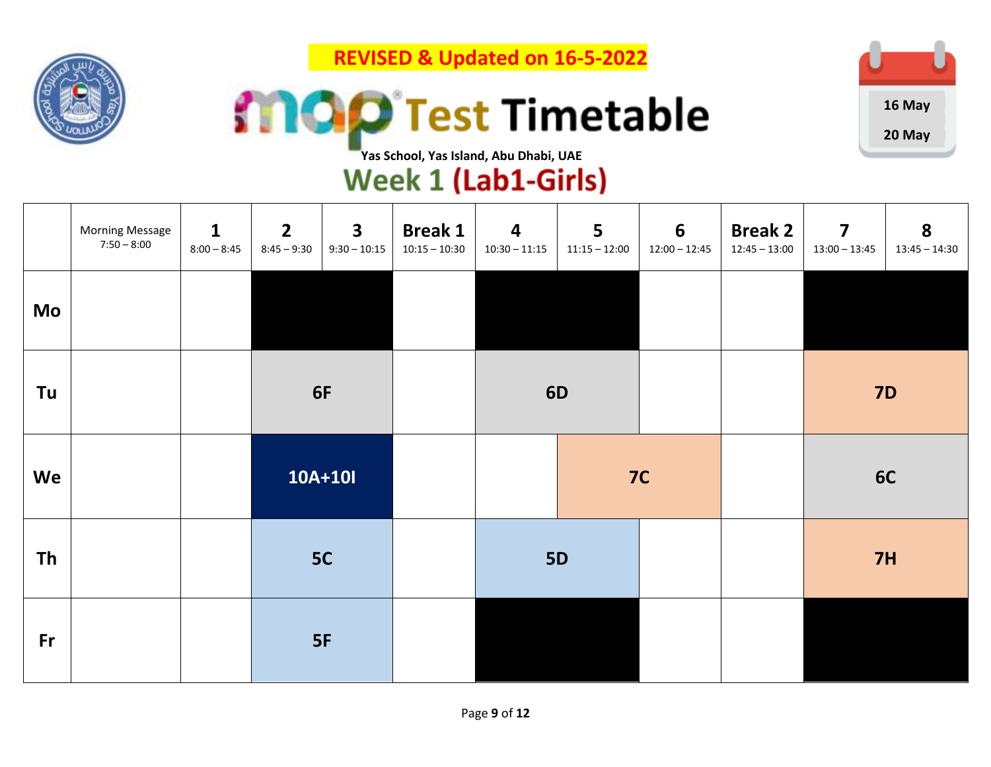

 **REVISED & Updated on 16-5-2022**





# **TYas School, Yas Island, Abu Dhabi, UAE**<br>Week 1 (Lab1-Girls)

|           | <b>Morning Message</b><br>$7:50 - 8:00$ | $\mathbf{1}$<br>$8:00 - 8:45$ | $\overline{2}$<br>$8:45 - 9:30$ | $\overline{\mathbf{3}}$<br>$9:30 - 10:15$ | <b>Break 1</b><br>$10:15 - 10:30$ | $\overline{\mathbf{4}}$<br>$10:30 - 11:15$ | 5<br>$11:15 - 12:00$ | $6\phantom{1}6$<br>$12:00 - 12:45$ | <b>Break 2</b><br>$12:45 - 13:00$ | $\overline{\mathbf{z}}$<br>$13:00 - 13:45$ | 8<br>$13:45 - 14:30$ |
|-----------|-----------------------------------------|-------------------------------|---------------------------------|-------------------------------------------|-----------------------------------|--------------------------------------------|----------------------|------------------------------------|-----------------------------------|--------------------------------------------|----------------------|
| Mo        |                                         |                               |                                 |                                           |                                   |                                            |                      |                                    |                                   |                                            |                      |
| Tu        |                                         |                               | 6F                              |                                           |                                   |                                            | <b>6D</b>            |                                    |                                   |                                            | <b>7D</b>            |
| We        |                                         |                               |                                 | 10A+10I                                   |                                   |                                            |                      | 7C                                 |                                   |                                            | 6C                   |
| <b>Th</b> |                                         |                               |                                 | 5C                                        |                                   |                                            | <b>5D</b>            |                                    |                                   | 7H                                         |                      |
| <b>Fr</b> |                                         |                               |                                 | 5F                                        |                                   |                                            |                      |                                    |                                   |                                            |                      |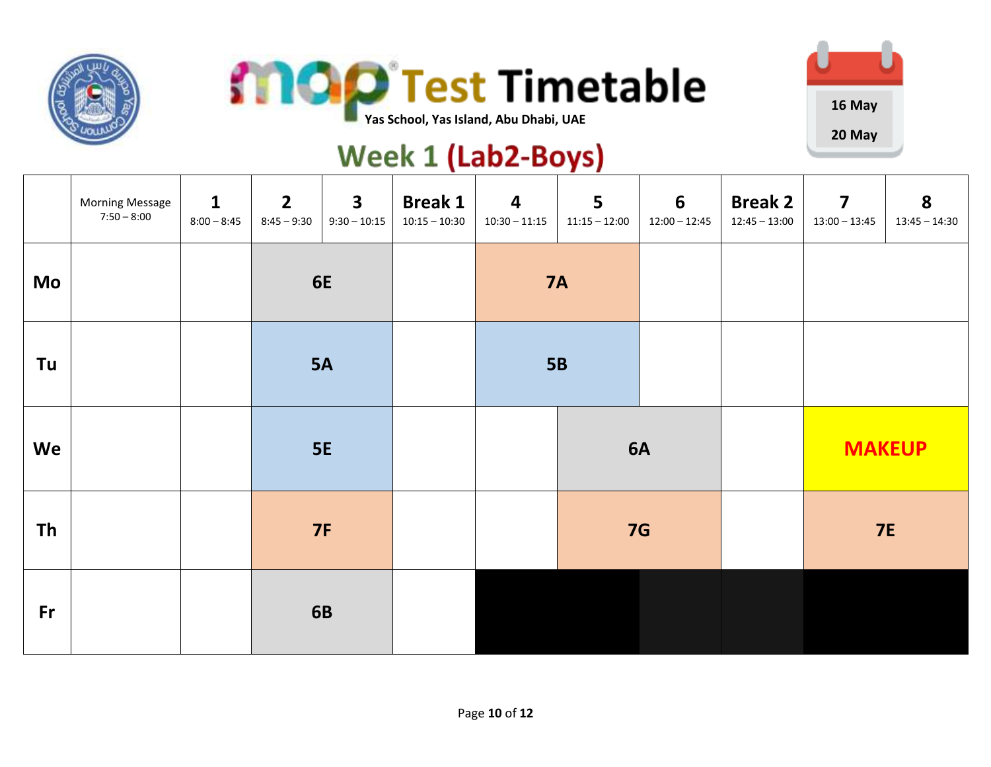





#### **Week 1 (Lab2-Boys)**

|           | <b>Morning Message</b><br>$7:50 - 8:00$ | $\mathbf{1}$<br>$8:00 - 8:45$ | $\overline{2}$<br>$8:45 - 9:30$ | $\overline{\mathbf{3}}$<br>$9:30 - 10:15$ | <b>Break 1</b><br>$10:15 - 10:30$ | $\overline{\mathbf{4}}$<br>$10:30 - 11:15$ | 5<br>$11:15 - 12:00$ | $6\overline{6}$<br>$12:00 - 12:45$ | <b>Break 2</b><br>$12:45 - 13:00$ | $\overline{\mathbf{z}}$<br>$13:00 - 13:45$ | 8<br>$13:45 - 14:30$ |
|-----------|-----------------------------------------|-------------------------------|---------------------------------|-------------------------------------------|-----------------------------------|--------------------------------------------|----------------------|------------------------------------|-----------------------------------|--------------------------------------------|----------------------|
| Mo        |                                         |                               |                                 | 6E                                        |                                   |                                            | <b>7A</b>            |                                    |                                   |                                            |                      |
| Tu        |                                         |                               |                                 | <b>5A</b>                                 |                                   |                                            | <b>5B</b>            |                                    |                                   |                                            |                      |
| We        |                                         |                               |                                 | <b>5E</b>                                 |                                   |                                            |                      | 6A                                 |                                   |                                            | <b>MAKEUP</b>        |
| <b>Th</b> |                                         |                               |                                 | <b>7F</b>                                 |                                   |                                            |                      | <b>7G</b>                          |                                   |                                            | <b>7E</b>            |
| Fr        |                                         |                               |                                 | <b>6B</b>                                 |                                   |                                            |                      |                                    |                                   |                                            |                      |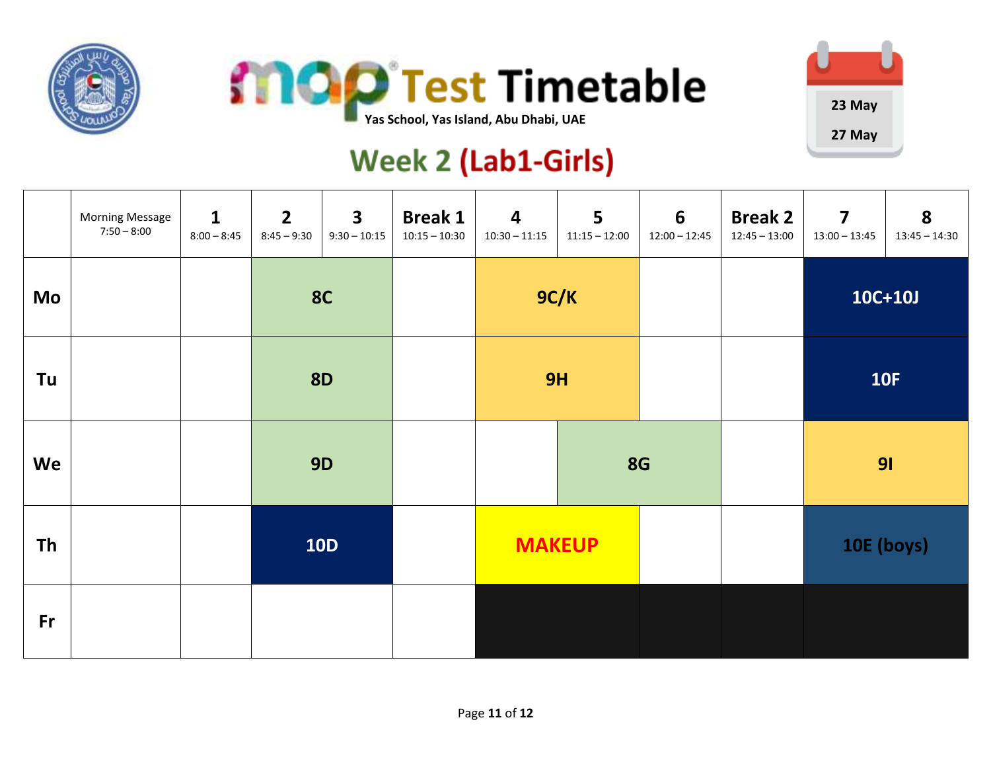





### **Week 2 (Lab1-Girls)**

|           | <b>Morning Message</b><br>$7:50 - 8:00$ | $\mathbf{1}$<br>$8:00 - 8:45$ | $2^{\circ}$<br>$8:45 - 9:30$ | 3 <sup>1</sup><br>$9:30 - 10:15$ | <b>Break 1</b><br>$10:15 - 10:30$ | $\overline{\mathbf{4}}$<br>$10:30 - 11:15$ | 5<br>$11:15 - 12:00$ | 6<br>$12:00 - 12:45$ | <b>Break 2</b><br>$12:45 - 13:00$ | $\overline{\mathbf{z}}$<br>$13:00 - 13:45$ | 8<br>$13:45 - 14:30$ |
|-----------|-----------------------------------------|-------------------------------|------------------------------|----------------------------------|-----------------------------------|--------------------------------------------|----------------------|----------------------|-----------------------------------|--------------------------------------------|----------------------|
| Mo        |                                         |                               | <b>8C</b>                    |                                  |                                   | 9C/K                                       |                      |                      |                                   | $10C+10J$                                  |                      |
| Tu        |                                         |                               | <b>8D</b>                    |                                  |                                   | 9H                                         |                      |                      |                                   | <b>10F</b>                                 |                      |
| We        |                                         |                               | <b>9D</b>                    |                                  |                                   |                                            | <b>8G</b>            |                      |                                   | 91                                         |                      |
| <b>Th</b> |                                         |                               | <b>10D</b>                   |                                  | <b>MAKEUP</b>                     |                                            |                      |                      | 10E (boys)                        |                                            |                      |
| Fr        |                                         |                               |                              |                                  |                                   |                                            |                      |                      |                                   |                                            |                      |